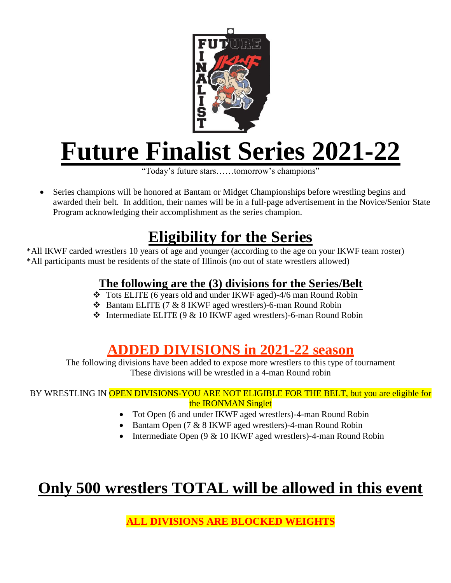

# **Future Finalist Series 2021-22**

"Today's future stars……tomorrow's champions"

 Series champions will be honored at Bantam or Midget Championships before wrestling begins and awarded their belt. In addition, their names will be in a full-page advertisement in the Novice/Senior State Program acknowledging their accomplishment as the series champion.

### **Eligibility for the Series**

\*All IKWF carded wrestlers 10 years of age and younger (according to the age on your IKWF team roster) \*All participants must be residents of the state of Illinois (no out of state wrestlers allowed)

#### **The following are the (3) divisions for the Series/Belt**

- Tots ELITE (6 years old and under IKWF aged)-4/6 man Round Robin
- Bantam ELITE (7 & 8 IKWF aged wrestlers)-6-man Round Robin
- Intermediate ELITE (9 & 10 IKWF aged wrestlers)-6-man Round Robin

### **ADDED DIVISIONS in 2021-22 season**

The following divisions have been added to expose more wrestlers to this type of tournament These divisions will be wrestled in a 4-man Round robin

#### BY WRESTLING IN OPEN DIVISIONS-YOU ARE NOT ELIGIBLE FOR THE BELT, but you are eligible for the IRONMAN Singlet

- Tot Open (6 and under IKWF aged wrestlers)-4-man Round Robin
- Bantam Open (7 & 8 IKWF aged wrestlers)-4-man Round Robin
- Intermediate Open (9 & 10 IKWF aged wrestlers)-4-man Round Robin

### **Only 500 wrestlers TOTAL will be allowed in this event**

**ALL DIVISIONS ARE BLOCKED WEIGHTS**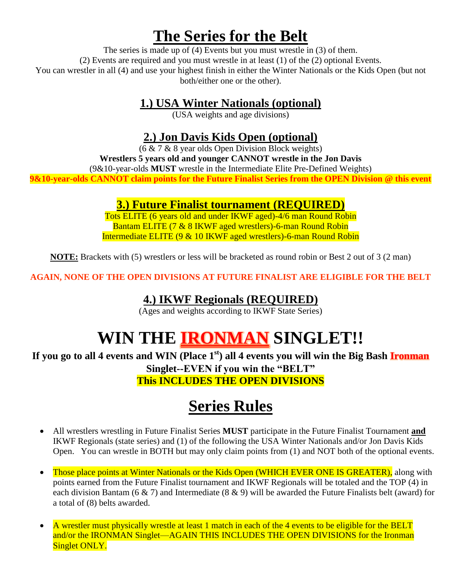### **The Series for the Belt**

The series is made up of  $(4)$  Events but you must wrestle in  $(3)$  of them. (2) Events are required and you must wrestle in at least (1) of the (2) optional Events. You can wrestler in all (4) and use your highest finish in either the Winter Nationals or the Kids Open (but not both/either one or the other).

#### **1.) USA Winter Nationals (optional)**

(USA weights and age divisions)

#### **2.) Jon Davis Kids Open (optional)**

 $(6 \& 7 \& 8$  year olds Open Division Block weights)

**Wrestlers 5 years old and younger CANNOT wrestle in the Jon Davis**

(9&10-year-olds **MUST** wrestle in the Intermediate Elite Pre-Defined Weights)

**9&10-year-olds CANNOT claim points for the Future Finalist Series from the OPEN Division @ this event**

#### **3.) Future Finalist tournament (REQUIRED)**

Tots ELITE (6 years old and under IKWF aged)-4/6 man Round Robin Bantam ELITE (7 & 8 IKWF aged wrestlers)-6-man Round Robin Intermediate ELITE (9 & 10 IKWF aged wrestlers)-6-man Round Robin

**NOTE:** Brackets with (5) wrestlers or less will be bracketed as round robin or Best 2 out of 3 (2 man)

**AGAIN, NONE OF THE OPEN DIVISIONS AT FUTURE FINALIST ARE ELIGIBLE FOR THE BELT**

#### **4.) IKWF Regionals (REQUIRED)**

(Ages and weights according to IKWF State Series)

## **WIN THE IRONMAN SINGLET!!**

**If you go to all 4 events and WIN (Place 1st) all 4 events you will win the Big Bash Ironman**

**Singlet--EVEN if you win the "BELT"**

**This INCLUDES THE OPEN DIVISIONS**

### **Series Rules**

- All wrestlers wrestling in Future Finalist Series **MUST** participate in the Future Finalist Tournament **and** IKWF Regionals (state series) and (1) of the following the USA Winter Nationals and/or Jon Davis Kids Open. You can wrestle in BOTH but may only claim points from (1) and NOT both of the optional events.
- Those place points at Winter Nationals or the Kids Open (WHICH EVER ONE IS GREATER), along with points earned from the Future Finalist tournament and IKWF Regionals will be totaled and the TOP (4) in each division Bantam (6 & 7) and Intermediate (8 & 9) will be awarded the Future Finalists belt (award) for a total of (8) belts awarded.
- A wrestler must physically wrestle at least 1 match in each of the 4 events to be eligible for the BELT and/or the IRONMAN Singlet—AGAIN THIS INCLUDES THE OPEN DIVISIONS for the Ironman Singlet ONLY.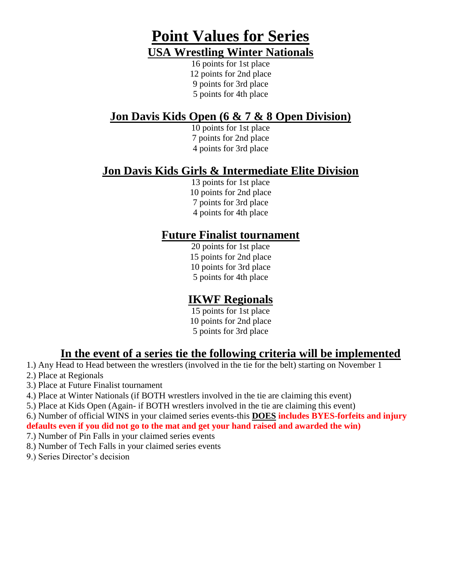### **Point Values for Series USA Wrestling Winter Nationals**

16 points for 1st place 12 points for 2nd place 9 points for 3rd place 5 points for 4th place

#### **Jon Davis Kids Open (6 & 7 & 8 Open Division)**

10 points for 1st place 7 points for 2nd place 4 points for 3rd place

#### **Jon Davis Kids Girls & Intermediate Elite Division**

13 points for 1st place 10 points for 2nd place 7 points for 3rd place 4 points for 4th place

#### **Future Finalist tournament**

20 points for 1st place 15 points for 2nd place 10 points for 3rd place 5 points for 4th place

#### **IKWF Regionals**

15 points for 1st place 10 points for 2nd place 5 points for 3rd place

#### **In the event of a series tie the following criteria will be implemented**

- 1.) Any Head to Head between the wrestlers (involved in the tie for the belt) starting on November 1
- 2.) Place at Regionals
- 3.) Place at Future Finalist tournament
- 4.) Place at Winter Nationals (if BOTH wrestlers involved in the tie are claiming this event)
- 5.) Place at Kids Open (Again- if BOTH wrestlers involved in the tie are claiming this event)
- 6.) Number of official WINS in your claimed series events-this **DOES includes BYES-forfeits and injury**

**defaults even if you did not go to the mat and get your hand raised and awarded the win)** 

- 7.) Number of Pin Falls in your claimed series events
- 8.) Number of Tech Falls in your claimed series events
- 9.) Series Director's decision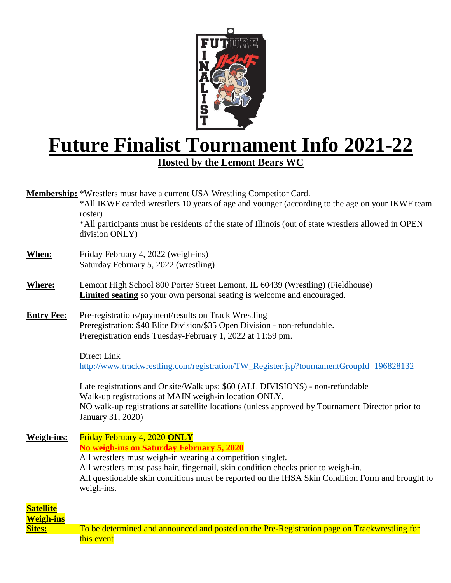

# **Future Finalist Tournament Info 2021-22**

**Hosted by the Lemont Bears WC**

**Membership:** \*Wrestlers must have a current USA Wrestling Competitor Card.

\*All IKWF carded wrestlers 10 years of age and younger (according to the age on your IKWF team roster)

\*All participants must be residents of the state of Illinois (out of state wrestlers allowed in OPEN division ONLY)

- **When:** Friday February 4, 2022 (weigh-ins) Saturday February 5, 2022 (wrestling)
- **Where:** Lemont High School 800 Porter Street Lemont, IL 60439 (Wrestling) (Fieldhouse) **Limited seating** so your own personal seating is welcome and encouraged.
- **Entry Fee:** Pre-registrations/payment/results on Track Wrestling Preregistration: \$40 Elite Division/\$35 Open Division - non-refundable. Preregistration ends Tuesday-February 1, 2022 at 11:59 pm.

Direct Link [http://www.trackwrestling.com/registration/TW\\_Register.jsp?tournamentGroupId=196828132](http://www.trackwrestling.com/registration/TW_Register.jsp?tournamentGroupId=196828132)

Late registrations and Onsite/Walk ups: \$60 (ALL DIVISIONS) - non-refundable Walk-up registrations at MAIN weigh-in location ONLY. NO walk-up registrations at satellite locations (unless approved by Tournament Director prior to January 31, 2020)

**Weigh-ins:** Friday February 4, 2020 **ONLY No weigh-ins on Saturday February 5, 2020** All wrestlers must weigh-in wearing a competition singlet. All wrestlers must pass hair, fingernail, skin condition checks prior to weigh-in. All questionable skin conditions must be reported on the IHSA Skin Condition Form and brought to weigh-ins.

| <b>Satellite</b> |                                                                                              |
|------------------|----------------------------------------------------------------------------------------------|
| <b>Weigh-ins</b> |                                                                                              |
| <b>Sites:</b>    | To be determined and announced and posted on the Pre-Registration page on Trackwrestling for |
|                  | this event                                                                                   |